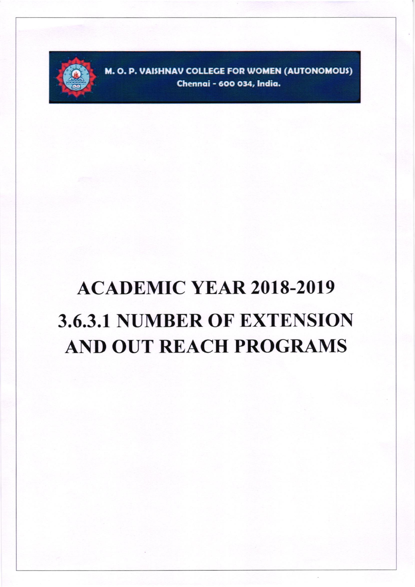

M. O. P. VAISHNAV COLLEGE FOR WOMEN (AUTONOMOUS) Chennai - 600 034, India.

## **ACADEMIC YEAR 2018-2019 3.6.3.1 NUMBER OF EXTENSION AND OUT REACH PROGRAMS**